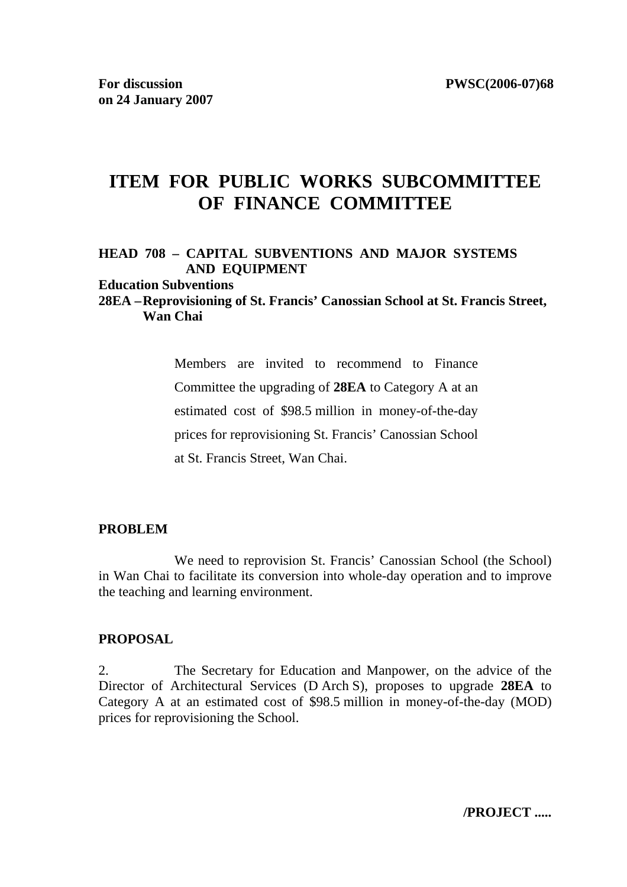# **ITEM FOR PUBLIC WORKS SUBCOMMITTEE OF FINANCE COMMITTEE**

### **HEAD 708 – CAPITAL SUBVENTIONS AND MAJOR SYSTEMS AND EQUIPMENT**

#### **Education Subventions**

### **28EA – Reprovisioning of St. Francis' Canossian School at St. Francis Street, Wan Chai**

Members are invited to recommend to Finance Committee the upgrading of **28EA** to Category A at an estimated cost of \$98.5 million in money-of-the-day prices for reprovisioning St. Francis' Canossian School at St. Francis Street, Wan Chai.

#### **PROBLEM**

 We need to reprovision St. Francis' Canossian School (the School) in Wan Chai to facilitate its conversion into whole-day operation and to improve the teaching and learning environment.

#### **PROPOSAL**

2. The Secretary for Education and Manpower, on the advice of the Director of Architectural Services (D Arch S), proposes to upgrade **28EA** to Category A at an estimated cost of \$98.5 million in money-of-the-day (MOD) prices for reprovisioning the School.

**/PROJECT .....**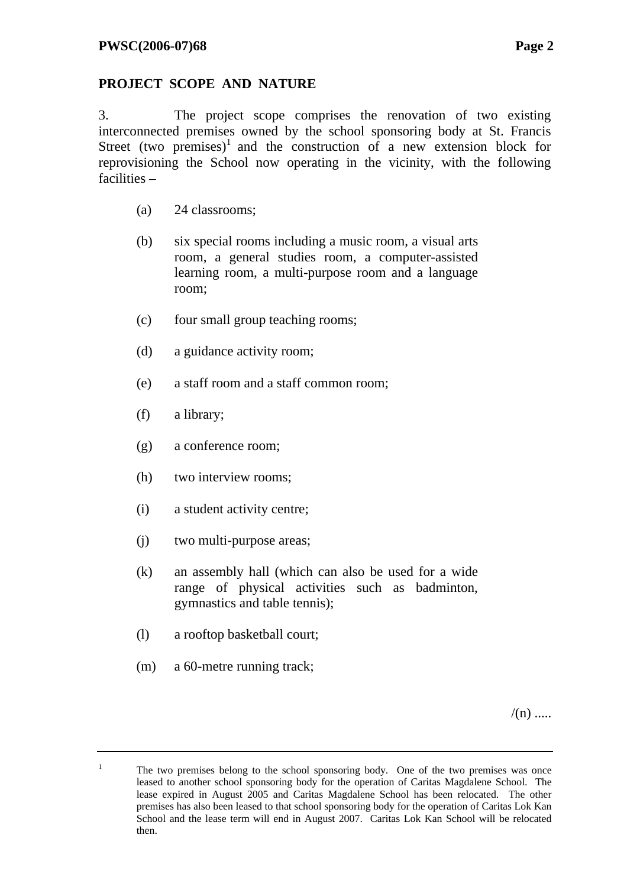## **PROJECT SCOPE AND NATURE**

3. The project scope comprises the renovation of two existing interconnected premises owned by the school sponsoring body at St. Francis Street (two premises)<sup>1</sup> and the construction of a new extension block for reprovisioning the School now operating in the vicinity, with the following facilities –

- (a) 24 classrooms;
- (b) six special rooms including a music room, a visual arts room, a general studies room, a computer-assisted learning room, a multi-purpose room and a language room;
- (c) four small group teaching rooms;
- (d) a guidance activity room;
- (e) a staff room and a staff common room;
- (f) a library;
- (g) a conference room;
- (h) two interview rooms;
- (i) a student activity centre;
- (j) two multi-purpose areas;
- (k) an assembly hall (which can also be used for a wide range of physical activities such as badminton, gymnastics and table tennis);
- (l) a rooftop basketball court;
- (m) a 60-metre running track;

1

 $/(n)$  .....

The two premises belong to the school sponsoring body. One of the two premises was once leased to another school sponsoring body for the operation of Caritas Magdalene School. The lease expired in August 2005 and Caritas Magdalene School has been relocated. The other premises has also been leased to that school sponsoring body for the operation of Caritas Lok Kan School and the lease term will end in August 2007. Caritas Lok Kan School will be relocated then.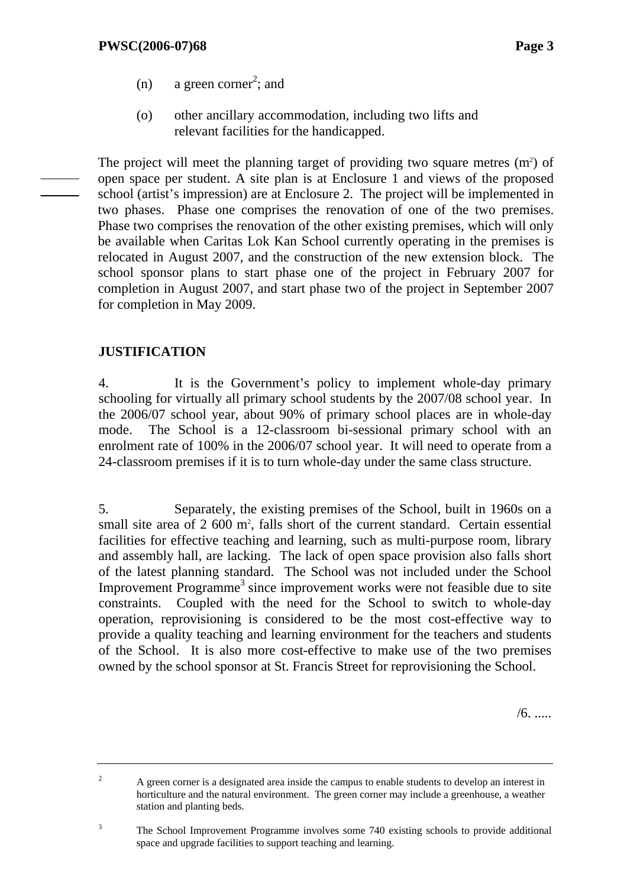- (n) a green corner<sup>2</sup>; and
	- (o) other ancillary accommodation, including two lifts and relevant facilities for the handicapped.

The project will meet the planning target of providing two square metres  $(m<sup>2</sup>)$  of open space per student. A site plan is at Enclosure 1 and views of the proposed school (artist's impression) are at Enclosure 2. The project will be implemented in two phases. Phase one comprises the renovation of one of the two premises. Phase two comprises the renovation of the other existing premises, which will only be available when Caritas Lok Kan School currently operating in the premises is relocated in August 2007, and the construction of the new extension block. The school sponsor plans to start phase one of the project in February 2007 for completion in August 2007, and start phase two of the project in September 2007 for completion in May 2009.

### **JUSTIFICATION**

4. It is the Government's policy to implement whole-day primary schooling for virtually all primary school students by the 2007/08 school year. In the 2006/07 school year, about 90% of primary school places are in whole-day mode. The School is a 12-classroom bi-sessional primary school with an enrolment rate of 100% in the 2006/07 school year. It will need to operate from a 24-classroom premises if it is to turn whole-day under the same class structure.

5. Separately, the existing premises of the School, built in 1960s on a small site area of 2 600 m<sup>2</sup>, falls short of the current standard. Certain essential facilities for effective teaching and learning, such as multi-purpose room, library and assembly hall, are lacking. The lack of open space provision also falls short of the latest planning standard. The School was not included under the School Improvement Programme<sup>3</sup> since improvement works were not feasible due to site constraints. Coupled with the need for the School to switch to whole-day operation, reprovisioning is considered to be the most cost-effective way to provide a quality teaching and learning environment for the teachers and students of the School. It is also more cost-effective to make use of the two premises owned by the school sponsor at St. Francis Street for reprovisioning the School.

/6. .....

2 A green corner is a designated area inside the campus to enable students to develop an interest in horticulture and the natural environment. The green corner may include a greenhouse, a weather station and planting beds.

<sup>3</sup> The School Improvement Programme involves some 740 existing schools to provide additional space and upgrade facilities to support teaching and learning.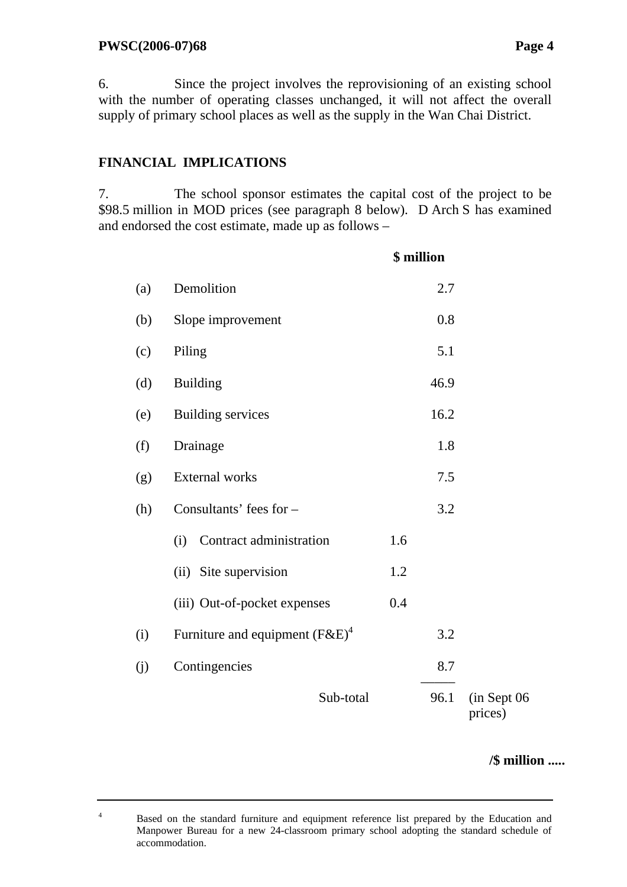4

6. Since the project involves the reprovisioning of an existing school with the number of operating classes unchanged, it will not affect the overall supply of primary school places as well as the supply in the Wan Chai District.

# **FINANCIAL IMPLICATIONS**

7. The school sponsor estimates the capital cost of the project to be \$98.5 million in MOD prices (see paragraph 8 below). D Arch S has examined and endorsed the cost estimate, made up as follows –

|     |                                   |     | \$ million |                        |
|-----|-----------------------------------|-----|------------|------------------------|
| (a) | Demolition                        |     | 2.7        |                        |
| (b) | Slope improvement                 |     | 0.8        |                        |
| (c) | Piling                            |     | 5.1        |                        |
| (d) | <b>Building</b>                   |     | 46.9       |                        |
| (e) | <b>Building services</b>          |     | 16.2       |                        |
| (f) | Drainage                          |     | 1.8        |                        |
| (g) | <b>External works</b>             |     | 7.5        |                        |
| (h) | Consultants' fees for -           |     | 3.2        |                        |
|     | Contract administration<br>(i)    | 1.6 |            |                        |
|     | (ii) Site supervision             | 1.2 |            |                        |
|     | (iii) Out-of-pocket expenses      | 0.4 |            |                        |
| (i) | Furniture and equipment $(F&E)^4$ |     | 3.2        |                        |
| (j) | Contingencies                     |     | 8.7        |                        |
|     | Sub-total                         |     | 96.1       | (in Sept 06<br>prices) |

**/\$ million .....**

 Based on the standard furniture and equipment reference list prepared by the Education and Manpower Bureau for a new 24-classroom primary school adopting the standard schedule of accommodation.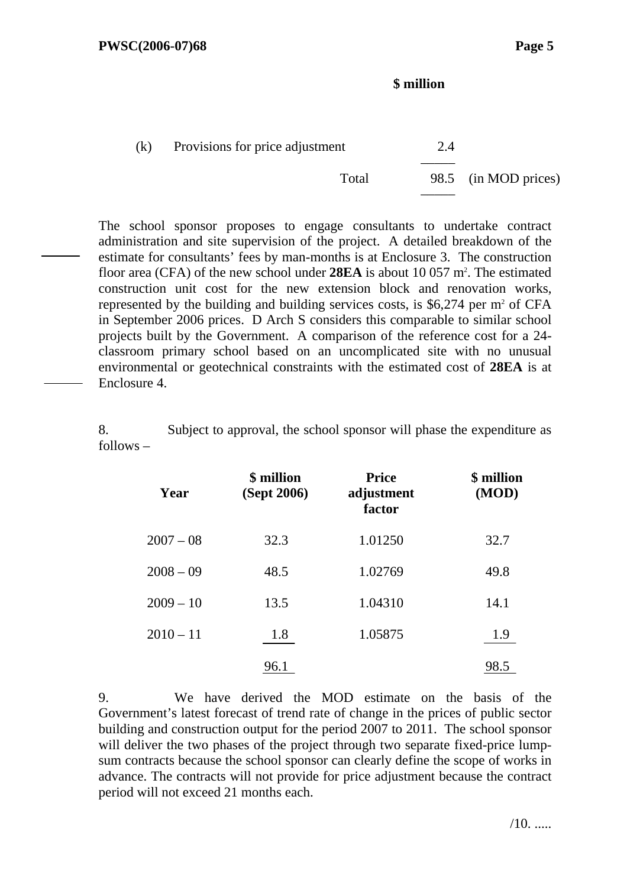### **\$ million**

| (k) | Provisions for price adjustment | 2.4 |                      |
|-----|---------------------------------|-----|----------------------|
|     | Total                           |     | 98.5 (in MOD prices) |

The school sponsor proposes to engage consultants to undertake contract administration and site supervision of the project. A detailed breakdown of the estimate for consultants' fees by man-months is at Enclosure 3. The construction floor area (CFA) of the new school under **28EA** is about 10 057 m<sup>2</sup>. The estimated construction unit cost for the new extension block and renovation works, represented by the building and building services costs, is  $$6,274$  per m<sup>2</sup> of CFA in September 2006 prices. D Arch S considers this comparable to similar school projects built by the Government. A comparison of the reference cost for a 24 classroom primary school based on an uncomplicated site with no unusual environmental or geotechnical constraints with the estimated cost of **28EA** is at Enclosure 4.

8. Subject to approval, the school sponsor will phase the expenditure as follows –

| Year        | \$ million<br>(Sept 2006) | <b>Price</b><br>adjustment<br>factor | \$ million<br>(MOD) |
|-------------|---------------------------|--------------------------------------|---------------------|
| $2007 - 08$ | 32.3                      | 1.01250                              | 32.7                |
| $2008 - 09$ | 48.5                      | 1.02769                              | 49.8                |
| $2009 - 10$ | 13.5                      | 1.04310                              | 14.1                |
| $2010 - 11$ | 1.8                       | 1.05875                              | 1.9                 |
|             | 96.1                      |                                      | 98.5                |

9. We have derived the MOD estimate on the basis of the Government's latest forecast of trend rate of change in the prices of public sector building and construction output for the period 2007 to 2011. The school sponsor will deliver the two phases of the project through two separate fixed-price lumpsum contracts because the school sponsor can clearly define the scope of works in advance. The contracts will not provide for price adjustment because the contract period will not exceed 21 months each.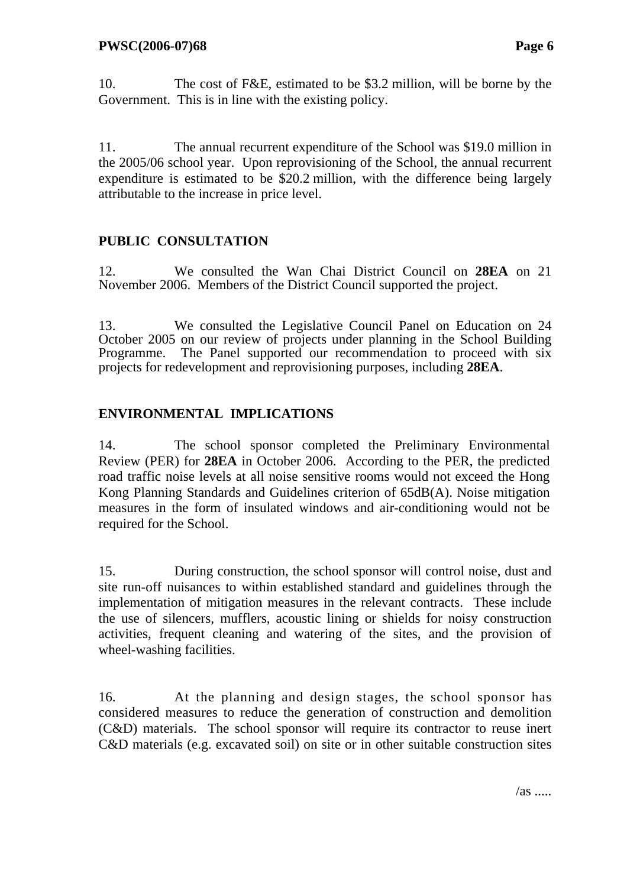10. The cost of F&E, estimated to be \$3.2 million, will be borne by the Government. This is in line with the existing policy.

11. The annual recurrent expenditure of the School was \$19.0 million in the 2005/06 school year. Upon reprovisioning of the School, the annual recurrent expenditure is estimated to be \$20.2 million, with the difference being largely attributable to the increase in price level.

# **PUBLIC CONSULTATION**

12. We consulted the Wan Chai District Council on **28EA** on 21 November 2006. Members of the District Council supported the project.

13. We consulted the Legislative Council Panel on Education on 24 October 2005 on our review of projects under planning in the School Building Programme. The Panel supported our recommendation to proceed with six projects for redevelopment and reprovisioning purposes, including **28EA**.

### **ENVIRONMENTAL IMPLICATIONS**

14. The school sponsor completed the Preliminary Environmental Review (PER) for **28EA** in October 2006. According to the PER, the predicted road traffic noise levels at all noise sensitive rooms would not exceed the Hong Kong Planning Standards and Guidelines criterion of 65dB(A). Noise mitigation measures in the form of insulated windows and air-conditioning would not be required for the School.

15. During construction, the school sponsor will control noise, dust and site run-off nuisances to within established standard and guidelines through the implementation of mitigation measures in the relevant contracts. These include the use of silencers, mufflers, acoustic lining or shields for noisy construction activities, frequent cleaning and watering of the sites, and the provision of wheel-washing facilities.

16. At the planning and design stages, the school sponsor has considered measures to reduce the generation of construction and demolition (C&D) materials. The school sponsor will require its contractor to reuse inert C&D materials (e.g. excavated soil) on site or in other suitable construction sites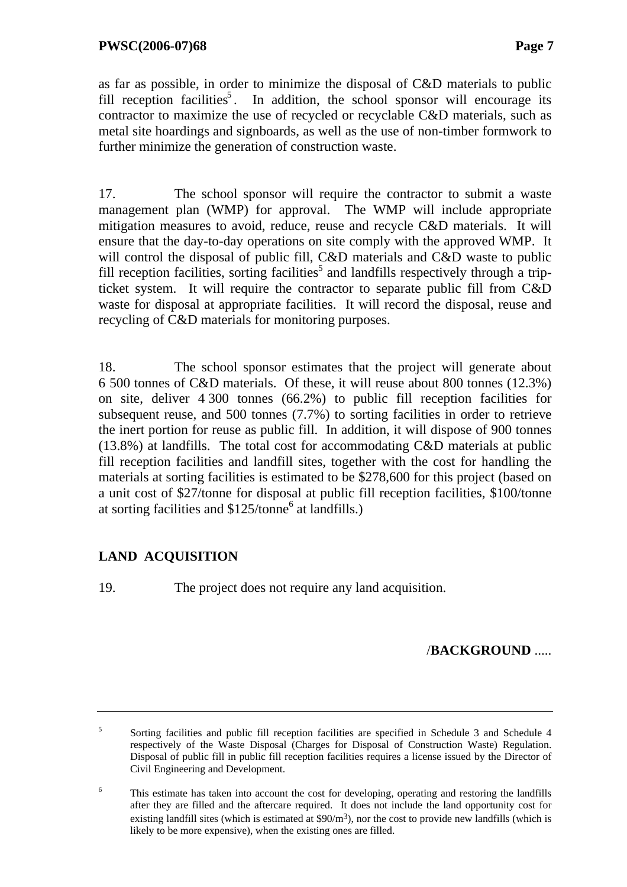as far as possible, in order to minimize the disposal of C&D materials to public fill reception facilities<sup>5</sup>. In addition, the school sponsor will encourage its contractor to maximize the use of recycled or recyclable C&D materials, such as metal site hoardings and signboards, as well as the use of non-timber formwork to further minimize the generation of construction waste.

17. The school sponsor will require the contractor to submit a waste management plan (WMP) for approval. The WMP will include appropriate mitigation measures to avoid, reduce, reuse and recycle C&D materials. It will ensure that the day-to-day operations on site comply with the approved WMP. It will control the disposal of public fill, C&D materials and C&D waste to public fill reception facilities, sorting facilities<sup>5</sup> and landfills respectively through a tripticket system. It will require the contractor to separate public fill from C&D waste for disposal at appropriate facilities. It will record the disposal, reuse and recycling of C&D materials for monitoring purposes.

18. The school sponsor estimates that the project will generate about 6 500 tonnes of C&D materials. Of these, it will reuse about 800 tonnes (12.3%) on site, deliver 4 300 tonnes (66.2%) to public fill reception facilities for subsequent reuse, and 500 tonnes (7.7%) to sorting facilities in order to retrieve the inert portion for reuse as public fill. In addition, it will dispose of 900 tonnes (13.8%) at landfills. The total cost for accommodating C&D materials at public fill reception facilities and landfill sites, together with the cost for handling the materials at sorting facilities is estimated to be \$278,600 for this project (based on a unit cost of \$27/tonne for disposal at public fill reception facilities, \$100/tonne at sorting facilities and  $$125/tonne<sup>6</sup>$  at landfills.)

# **LAND ACQUISITION**

19. The project does not require any land acquisition.

### /**BACKGROUND** .....

5 Sorting facilities and public fill reception facilities are specified in Schedule 3 and Schedule 4 respectively of the Waste Disposal (Charges for Disposal of Construction Waste) Regulation. Disposal of public fill in public fill reception facilities requires a license issued by the Director of Civil Engineering and Development.

<sup>6</sup> This estimate has taken into account the cost for developing, operating and restoring the landfills after they are filled and the aftercare required. It does not include the land opportunity cost for existing landfill sites (which is estimated at  $\frac{90}{m^3}$ ), nor the cost to provide new landfills (which is likely to be more expensive), when the existing ones are filled.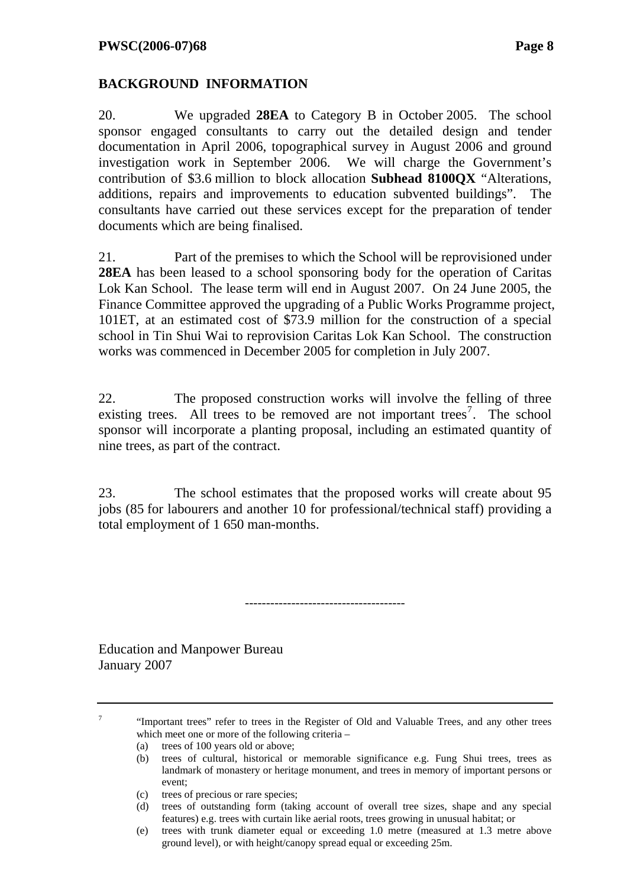### **BACKGROUND INFORMATION**

20. We upgraded **28EA** to Category B in October 2005. The school sponsor engaged consultants to carry out the detailed design and tender documentation in April 2006, topographical survey in August 2006 and ground investigation work in September 2006. We will charge the Government's contribution of \$3.6 million to block allocation **Subhead 8100QX** "Alterations, additions, repairs and improvements to education subvented buildings". The consultants have carried out these services except for the preparation of tender documents which are being finalised.

21. Part of the premises to which the School will be reprovisioned under **28EA** has been leased to a school sponsoring body for the operation of Caritas Lok Kan School. The lease term will end in August 2007. On 24 June 2005, the Finance Committee approved the upgrading of a Public Works Programme project, 101ET, at an estimated cost of \$73.9 million for the construction of a special school in Tin Shui Wai to reprovision Caritas Lok Kan School. The construction works was commenced in December 2005 for completion in July 2007.

22. The proposed construction works will involve the felling of three existing trees. All trees to be removed are not important trees<sup>7</sup>. The school sponsor will incorporate a planting proposal, including an estimated quantity of nine trees, as part of the contract.

23. The school estimates that the proposed works will create about 95 jobs (85 for labourers and another 10 for professional/technical staff) providing a total employment of 1 650 man-months.

--------------------------------------

Education and Manpower Bureau January 2007

7

 "Important trees" refer to trees in the Register of Old and Valuable Trees, and any other trees which meet one or more of the following criteria –

(a) trees of 100 years old or above;

- (b) trees of cultural, historical or memorable significance e.g. Fung Shui trees, trees as landmark of monastery or heritage monument, and trees in memory of important persons or event;
- (c) trees of precious or rare species;
- (d) trees of outstanding form (taking account of overall tree sizes, shape and any special features) e.g. trees with curtain like aerial roots, trees growing in unusual habitat; or
- (e) trees with trunk diameter equal or exceeding 1.0 metre (measured at 1.3 metre above ground level), or with height/canopy spread equal or exceeding 25m.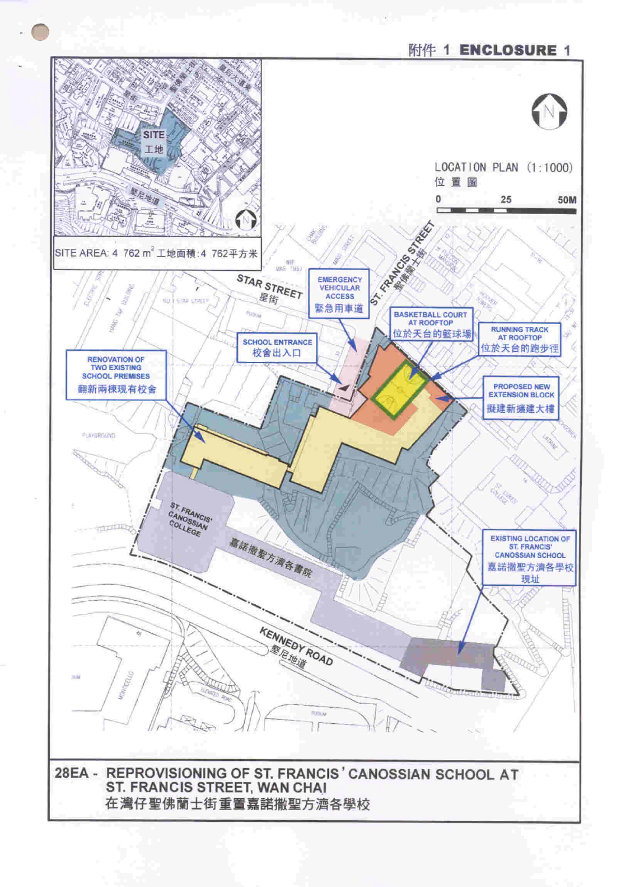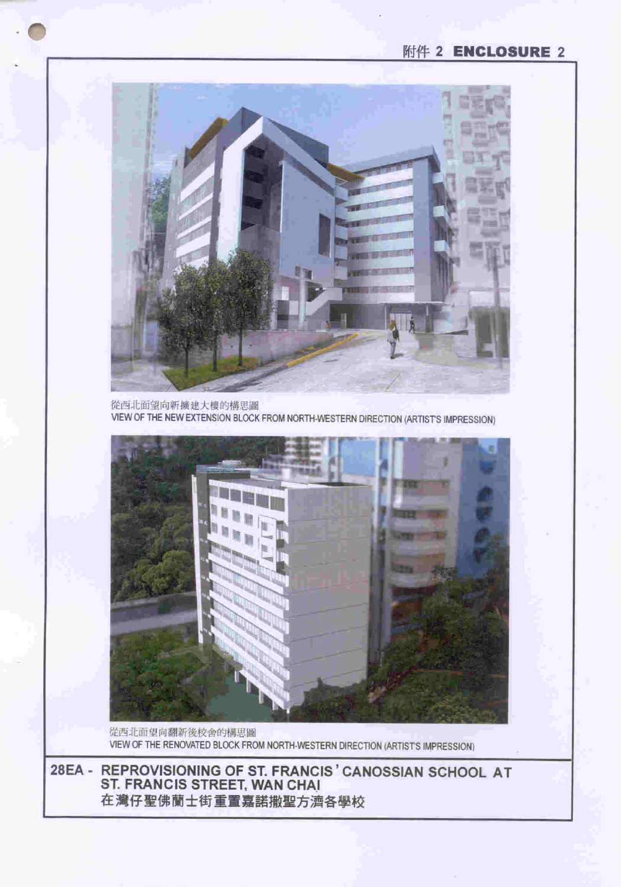28EA - REPROVISIONING OF ST. FRANCIS ' CANOSSIAN SCHOOL AT<br>ST. FRANCIS STREET, WAN CHAI 在灣仔聖佛蘭士街重置嘉諾撒聖方濟各學校

VIEW OF THE RENOVATED BLOCK FROM NORTH-WESTERN DIRECTION (ARTIST'S IMPRESSION)

從西北面望向翻新後校舍的構思圖

m

從西北面望向新擴建大樓的構思圖 VIEW OF THE NEW EXTENSION BLOCK FROM NORTH-WESTERN DIRECTION (ARTIST'S IMPRESSION)

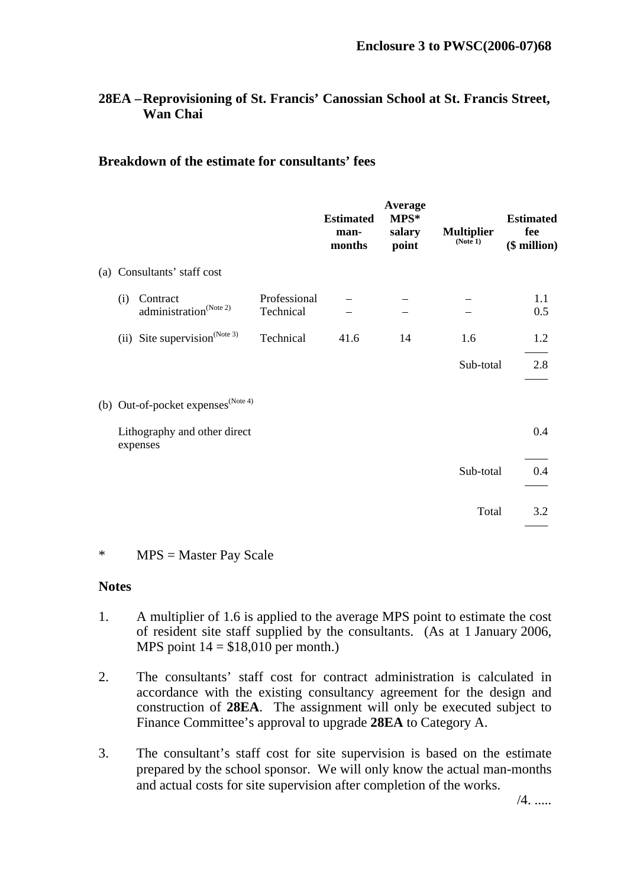### **28EA – Reprovisioning of St. Francis' Canossian School at St. Francis Street, Wan Chai**

#### **Breakdown of the estimate for consultants' fees**

|     |                                                |                           | <b>Estimated</b><br>man-<br>months | Average<br>MPS*<br>salary<br>point | <b>Multiplier</b><br>(Note 1) | <b>Estimated</b><br>fee<br>$$$ million) |
|-----|------------------------------------------------|---------------------------|------------------------------------|------------------------------------|-------------------------------|-----------------------------------------|
|     | (a) Consultants' staff cost                    |                           |                                    |                                    |                               |                                         |
| (i) | Contract<br>administration <sup>(Note 2)</sup> | Professional<br>Technical |                                    |                                    |                               | 1.1<br>0.5                              |
|     | (ii) Site supervision <sup>(Note 3)</sup>      | Technical                 | 41.6                               | 14                                 | 1.6                           | 1.2                                     |
|     |                                                |                           |                                    |                                    | Sub-total                     | 2.8                                     |
|     | (b) Out-of-pocket expenses $(N^{(Note 4)})$    |                           |                                    |                                    |                               |                                         |
|     | Lithography and other direct<br>expenses       |                           |                                    |                                    |                               | 0.4                                     |
|     |                                                |                           |                                    |                                    | Sub-total                     | 0.4                                     |
|     |                                                |                           |                                    |                                    | Total                         | 3.2                                     |

#### \* MPS = Master Pay Scale

#### **Notes**

- 1. A multiplier of 1.6 is applied to the average MPS point to estimate the cost of resident site staff supplied by the consultants. (As at 1 January 2006, MPS point  $14 = $18,010$  per month.)
- 2. The consultants' staff cost for contract administration is calculated in accordance with the existing consultancy agreement for the design and construction of **28EA**. The assignment will only be executed subject to Finance Committee's approval to upgrade **28EA** to Category A.
- 3. The consultant's staff cost for site supervision is based on the estimate prepared by the school sponsor. We will only know the actual man-months and actual costs for site supervision after completion of the works.

/4. .....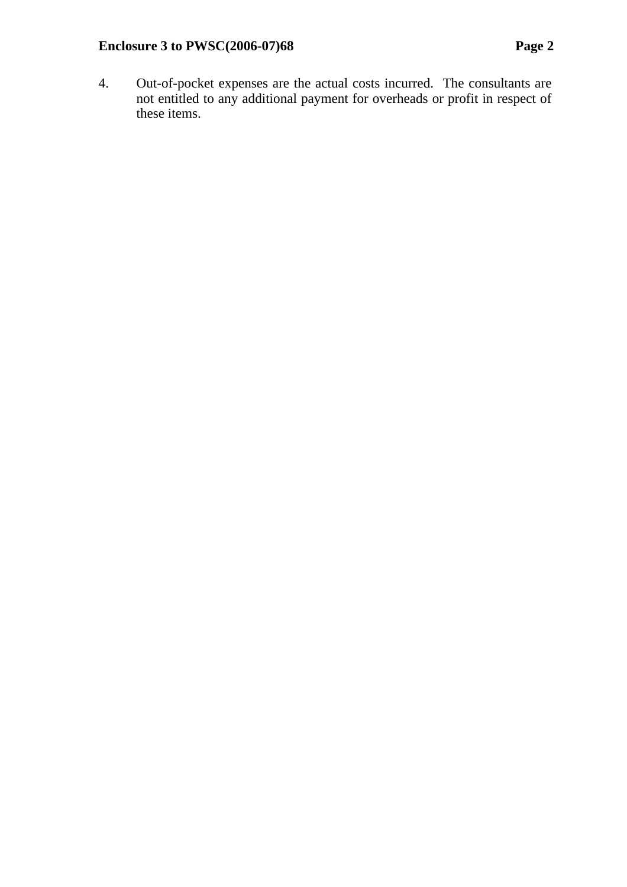4. Out-of-pocket expenses are the actual costs incurred. The consultants are not entitled to any additional payment for overheads or profit in respect of these items.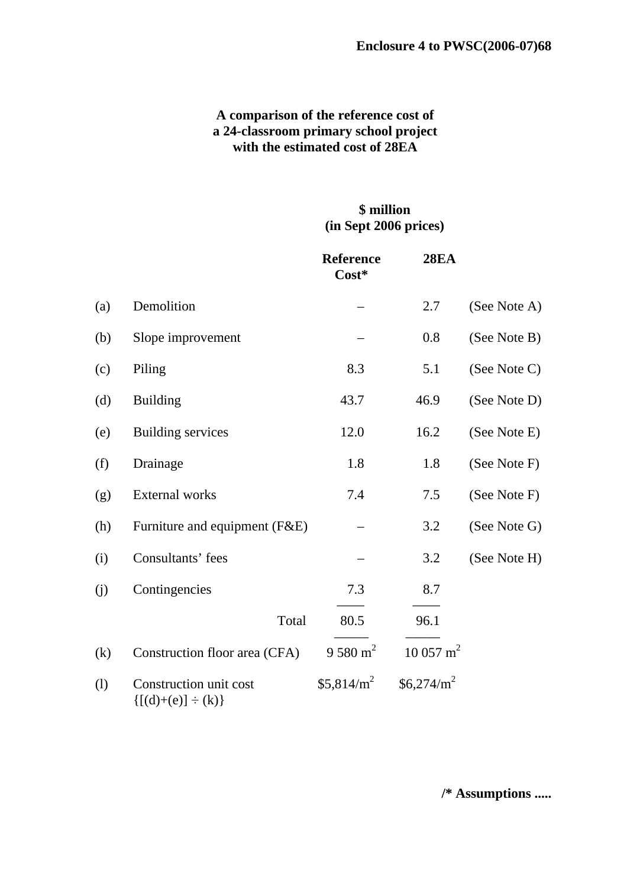### **A comparison of the reference cost of a 24-classroom primary school project with the estimated cost of 28EA**

## **\$ million (in Sept 2006 prices)**

|     |                                                     | <b>Reference</b><br>Cost* | <b>28EA</b>         |              |
|-----|-----------------------------------------------------|---------------------------|---------------------|--------------|
| (a) | Demolition                                          |                           | 2.7                 | (See Note A) |
| (b) | Slope improvement                                   |                           | 0.8                 | (See Note B) |
| (c) | Piling                                              | 8.3                       | 5.1                 | (See Note C) |
| (d) | <b>Building</b>                                     | 43.7                      | 46.9                | (See Note D) |
| (e) | <b>Building services</b>                            | 12.0                      | 16.2                | (See Note E) |
| (f) | Drainage                                            | 1.8                       | 1.8                 | (See Note F) |
| (g) | <b>External works</b>                               | 7.4                       | 7.5                 | (See Note F) |
| (h) | Furniture and equipment (F&E)                       |                           | 3.2                 | (See Note G) |
| (i) | Consultants' fees                                   |                           | 3.2                 | (See Note H) |
| (j) | Contingencies                                       | 7.3                       | 8.7                 |              |
|     | Total                                               | 80.5                      | 96.1                |              |
| (k) | Construction floor area (CFA)                       | 9 580 m <sup>2</sup>      | $10057 \text{ m}^2$ |              |
| (1) | Construction unit cost<br>$\{[(d)+(e)] \div (k)\}\$ | \$5,814/m <sup>2</sup>    | $$6,274/m^2$        |              |

**/\* Assumptions .....**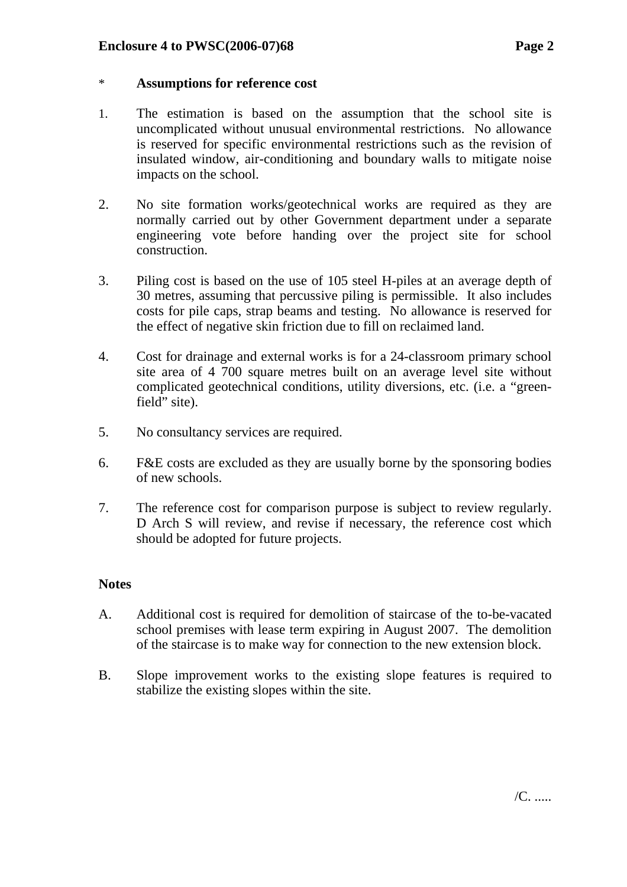#### **Enclosure 4 to PWSC(2006-07)68 Page 2**

#### \* **Assumptions for reference cost**

- 1. The estimation is based on the assumption that the school site is uncomplicated without unusual environmental restrictions. No allowance is reserved for specific environmental restrictions such as the revision of insulated window, air-conditioning and boundary walls to mitigate noise impacts on the school.
- 2. No site formation works/geotechnical works are required as they are normally carried out by other Government department under a separate engineering vote before handing over the project site for school construction.
- 3. Piling cost is based on the use of 105 steel H-piles at an average depth of 30 metres, assuming that percussive piling is permissible. It also includes costs for pile caps, strap beams and testing. No allowance is reserved for the effect of negative skin friction due to fill on reclaimed land.
- 4. Cost for drainage and external works is for a 24-classroom primary school site area of 4 700 square metres built on an average level site without complicated geotechnical conditions, utility diversions, etc. (i.e. a "greenfield" site).
- 5. No consultancy services are required.
- 6. F&E costs are excluded as they are usually borne by the sponsoring bodies of new schools.
- 7. The reference cost for comparison purpose is subject to review regularly. D Arch S will review, and revise if necessary, the reference cost which should be adopted for future projects.

### **Notes**

- A. Additional cost is required for demolition of staircase of the to-be-vacated school premises with lease term expiring in August 2007. The demolition of the staircase is to make way for connection to the new extension block.
- B. Slope improvement works to the existing slope features is required to stabilize the existing slopes within the site.